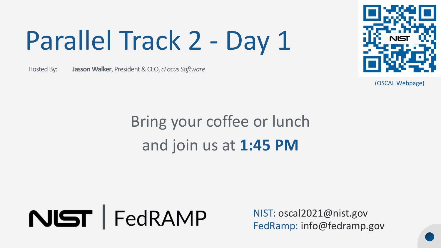# Parallel Track 2 - Day 1

Hosted By: Hosted By: **Jasson Walker**, President & CEO, *cFocus Software* 



(OSCAL Webpage)

### Bring your coffee or lunch and join us at **1:45 PM**



NIST: [oscal2021@nist.gov](mailto:oscal2021@nist.gov) FedRamp: [info@fedramp.gov](mailto:info@fedramp.gov)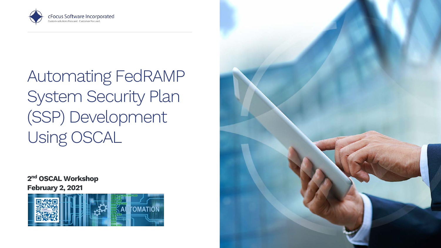

 Automating FedRAMP System Security Plan (SSP) Development Using OSCAL

2<sup>nd</sup> OSCAL Workshop February 2, 2021



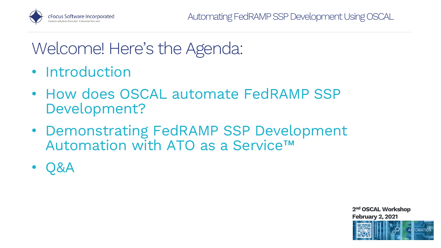

#### Welcome! Here's the Agenda:

- Introduction
- • How does OSCAL automate FedRAMP SSP Development?
- Automation with ATO as a Service™ • Demonstrating FedRAMP SSP Development
- Q&A

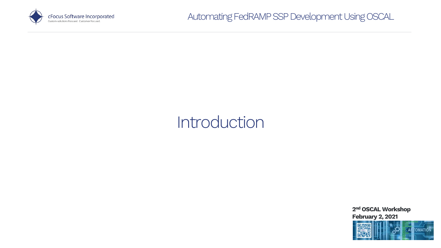

#### Introduction

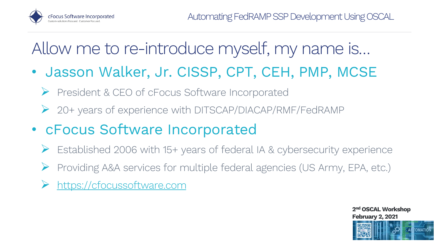

### Allow me to re-introduce myself, my name is…

- • Jasson Walker, Jr. CISSP, CPT, CEH, PMP, MCSE
	- President & CEO of cFocus Software Incorporated
	- 20+ years of experience with DITSCAP/DIACAP/RMF/FedRAMP
- • cFocus Software Incorporated
	- Established 2006 with 15+ years of federal IA & cybersecurity experience
	- Providing A&A services for multiple federal agencies (US Army, EPA, etc.)
	- [https://cfocussoftware.com](https://cfocussoftware.com/)

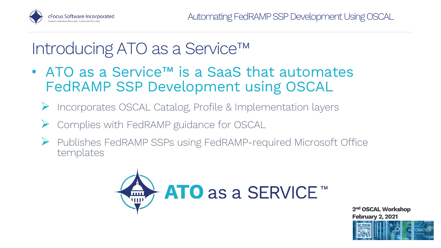

#### Introducing ATO as a Service™

- • ATO as a Service™ is a SaaS that automates FedRAMP SSP Development using OSCAL
	- Incorporates OSCAL Catalog, Profile & Implementation layers
	- Complies with FedRAMP guidance for OSCAL
	- • Publishes FedRAMP SSPs using FedRAMP-required Microsoft Office templates



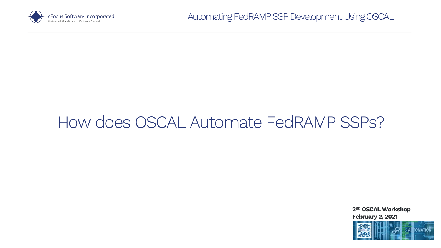

#### How does OSCAL Automate FedRAMP SSPs?

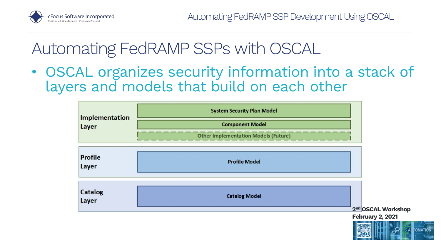

 • OSCAL organizes security information into a stack of layers and models that build on each other

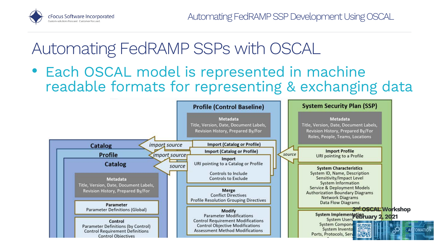

 readable formats for representing & exchanging data • Each OSCAL model is represented in machine

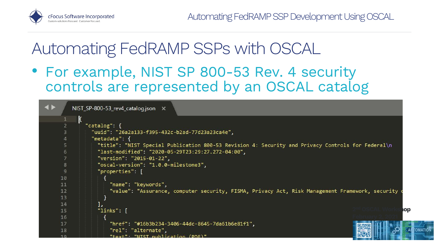

 • For example, NIST SP 800-53 Rev. 4 security controls are represented by an OSCAL catalog

```
\blacktriangleleftNIST SP-800-53 rev4 catalog.json X
       k
         "catalog": {
            "uuid": "26a2a133-f395-432c-b2ad-77d23a23ca4e",
            "metadata": {
              "title": "NIST Special Publication 800-53 Revision 4: Security and Privacy Controls for Federal\n
  5
              "last-modified": "2020-05-29T23:29:27.272-04:00",
 6
              "version": "2015-01-22",
              "oscal-version": "1.0.0-milestone3",
 \overline{8}"properties": [
 \mathbf{9}10
11
                  "name": "keywords",
                  "value": "Assurance, computer security, FISMA, Privacy Act, Risk Management Framework, security
121314
              Ъ.
                                                                                                             2<sup>nd</sup> OSCAL Worksh<mark>op</mark>
              "links": [
15
16
17
                  "href": "#16b3b234-3406-44dc-8645-7da61b6e81f1",
                  "rel": "alternate",
18
                  "text": "NIST publication (PDE)"
 10
```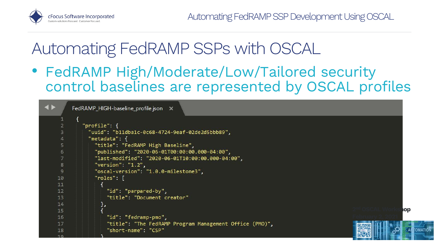

 • FedRAMP High/Moderate/Low/Tailored security control baselines are represented by OSCAL profiles

|                | FedRAMP_HIGH-baseline_profile.json X                    |            |
|----------------|---------------------------------------------------------|------------|
|                |                                                         |            |
| $\overline{2}$ | "profile": f                                            |            |
| 3              | "uuid": "b11dba1c-0c68-4724-9eaf-02de2d5bbb89",         |            |
| 4              | "metadata": {                                           |            |
| 5              | "title": "FedRAMP High Baseline",                       |            |
| 6              | "published": "2020-06-01T00:00:00.000-04:00",           |            |
| $\overline{7}$ | "last-modified": "2020-06-01T10:00:00.000-04:00",       |            |
| $\bf{8}$       | "version": $"1.2"$ ,                                    |            |
| 9              | "oscal-version": "1.0.0-milestone3",                    |            |
| 10             | $"roles":$ $\lceil$                                     |            |
| 11             |                                                         |            |
| 12             | "id": "parpared-by",                                    |            |
| 13             | "title": "Document creator"                             |            |
| 14             | },                                                      |            |
| 15             |                                                         | lOp        |
| 16             | "id": "fedramp-pmo",                                    |            |
| 17             | "title": "The FedRAMP Program Management Office (PMO)", |            |
| 18             | "short-name": "CSP"                                     | <b>TOM</b> |
| 10             |                                                         |            |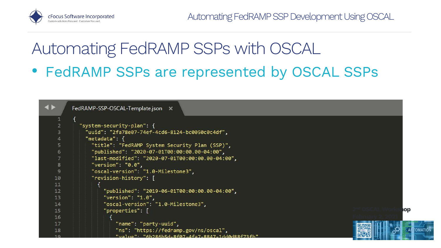

#### Automating FedRAMP SSPs with OSCAL • FedRAMP SSPs are represented by OSCAL SSPs

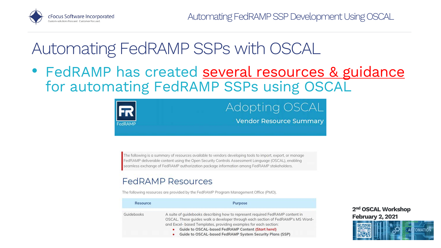

• FedRAMP has created several resources & guidance for automating FedRAMP SSPs using OSCAL



The following is a summary of resources available to vendors developing tools to import, export, or manage FedRAMP deliverable content using the Open Security Controls Assessment Language (OSCAL), enabling seamless exchange of FedRAMP authorization package information among FedRAMP stakeholders.

#### **FedRAMP Resources**

The following resources are provided by the FedRAMP Program Management Office (PMO).

| Resource   | Purpose                                                                                                                                                                                                                                                                                                                                                             |  |
|------------|---------------------------------------------------------------------------------------------------------------------------------------------------------------------------------------------------------------------------------------------------------------------------------------------------------------------------------------------------------------------|--|
| Guidebooks | A suite of quidebooks describing how to represent required FedRAMP content in<br>OSCAL. These quides walk a developer through each section of FedRAMP's MS Word-<br>and Excel- based Templates, providing examples for each section:<br>Guide to OSCAL-based FedRAMP Content (Start here!)<br>$\bullet$<br>Guide to OSCAL-based FedRAMP System Security Plans (SSP) |  |

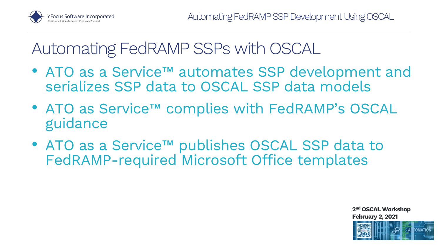

- • ATO as a Service™ automates SSP development and serializes SSP data to OSCAL SSP data models
- • ATO as Service™ complies with FedRAMP's OSCAL guidance
- • ATO as a Service™ publishes OSCAL SSP data to FedRAMP-required Microsoft Office templates

February 2, 2021

2nd OSCAL Workshop

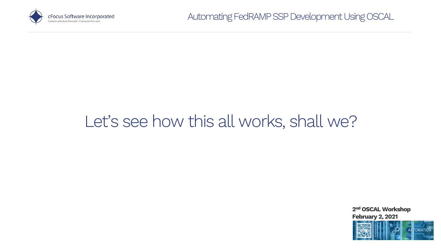

#### Let's see how this all works, shall we?

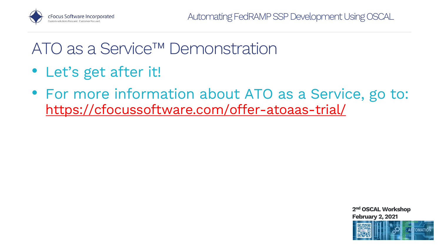

#### ATO as a Service™ Demonstration

- Let's get after it!
- • For more information about ATO as a Service, go to: <https://cfocussoftware.com/offer-atoaas-trial/>



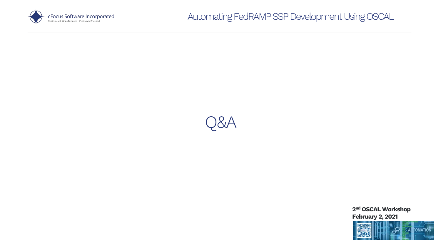





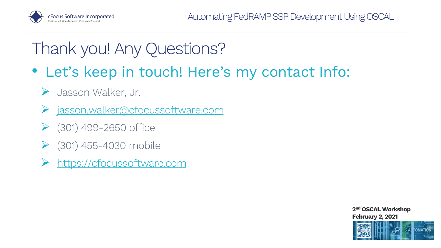

#### Thank you! Any Questions?

- • Let's keep in touch! Here's my contact Info:
	- Jasson Walker, Jr.
	- [jasson.walker@cfocussoftware.com](mailto:jasson.walker@cfocussoftware.com)
	- (301) 499-2650 office
	- (301) 455-4030 mobile
	- [https://cfocussoftware.com](https://cfocussoftware.com/)